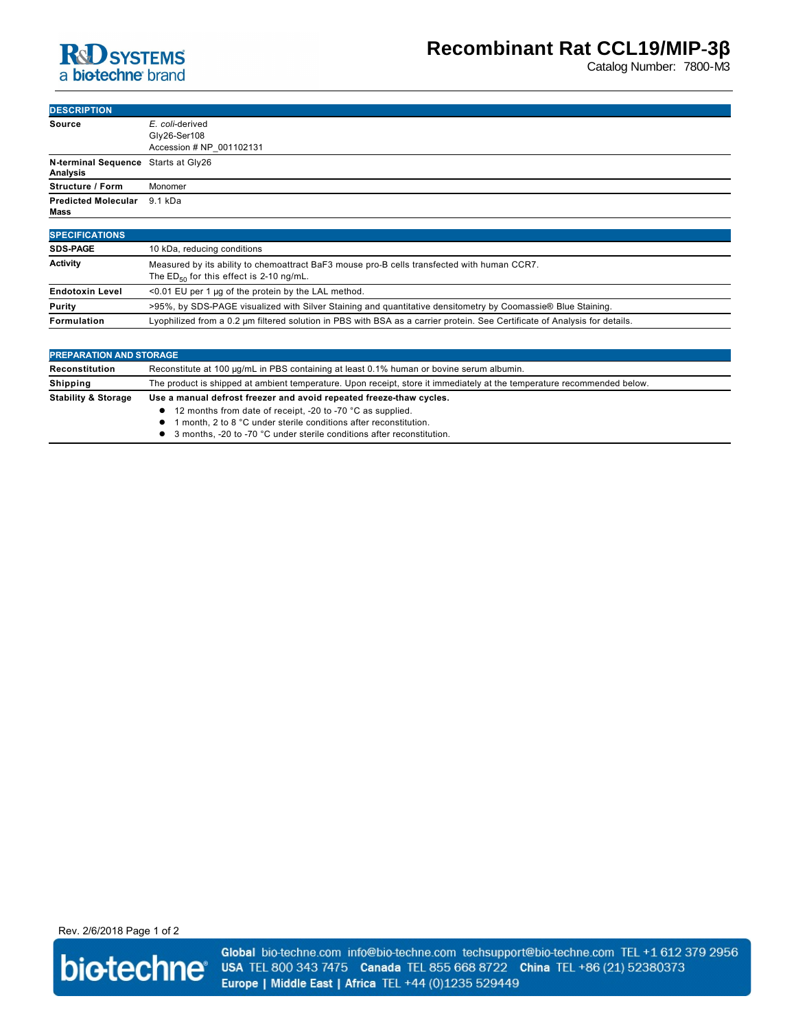

Catalog Number: 7800-M3

| <b>DESCRIPTION</b>                              |                                                                                             |
|-------------------------------------------------|---------------------------------------------------------------------------------------------|
| <b>Source</b>                                   | E. coli-derived<br>Gly26-Ser108                                                             |
|                                                 | Accession # NP 001102131                                                                    |
| N-terminal Sequence Starts at Gly26<br>Analysis |                                                                                             |
| <b>Structure / Form</b>                         | Monomer                                                                                     |
| <b>Predicted Molecular</b><br>Mass              | 9.1 kDa                                                                                     |
| <b>SPECIFICATIONS</b>                           |                                                                                             |
| <b>SDS-PAGE</b>                                 | 10 kDa, reducing conditions                                                                 |
| <b>Activity</b>                                 | Measured by its ability to chemoattract BaF3 mouse pro-B cells transfected with human CCR7. |

|                        | The $ED_{50}$ for this effect is 2-10 ng/mL.                                                                               |
|------------------------|----------------------------------------------------------------------------------------------------------------------------|
| <b>Endotoxin Level</b> | <0.01 EU per 1 µg of the protein by the LAL method.                                                                        |
| <b>Purity</b>          | >95%, by SDS-PAGE visualized with Silver Staining and quantitative densitometry by Coomassie® Blue Staining.               |
| Formulation            | Lyophilized from a 0.2 µm filtered solution in PBS with BSA as a carrier protein. See Certificate of Analysis for details. |

| <b>PREPARATION AND STORAGE</b> |                                                                                                                         |  |
|--------------------------------|-------------------------------------------------------------------------------------------------------------------------|--|
| Reconstitution                 | Reconstitute at 100 µg/mL in PBS containing at least 0.1% human or bovine serum albumin.                                |  |
| Shipping                       | The product is shipped at ambient temperature. Upon receipt, store it immediately at the temperature recommended below. |  |
| <b>Stability &amp; Storage</b> | Use a manual defrost freezer and avoid repeated freeze-thaw cycles.                                                     |  |
|                                | 12 months from date of receipt, -20 to -70 °C as supplied.                                                              |  |
|                                | 1 month, 2 to 8 °C under sterile conditions after reconstitution.                                                       |  |
|                                | 3 months, -20 to -70 °C under sterile conditions after reconstitution.                                                  |  |

Rev. 2/6/2018 Page 1 of 2



Global bio-techne.com info@bio-techne.com techsupport@bio-techne.com TEL +1 612 379 2956 USA TEL 800 343 7475 Canada TEL 855 668 8722 China TEL +86 (21) 52380373 Europe | Middle East | Africa TEL +44 (0)1235 529449